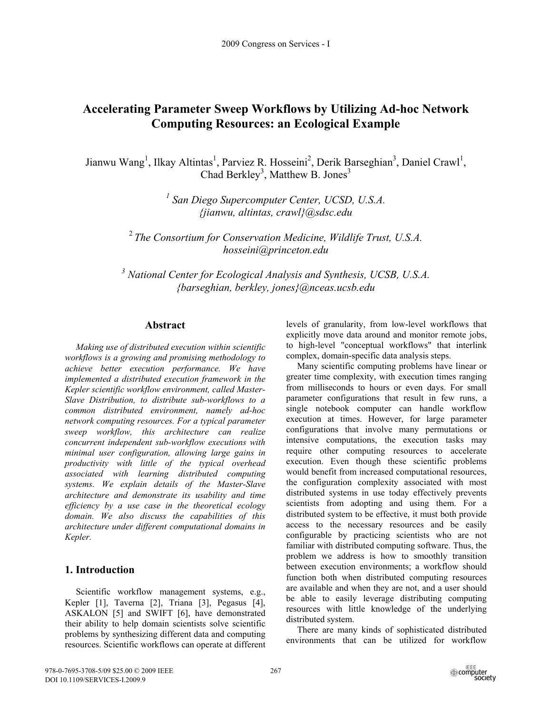2009 Congress on Services - I

# **Accelerating Parameter Sweep Workflows by Utilizing Ad-hoc Network Computing Resources: an Ecological Example**

Jianwu Wang<sup>1</sup>, Ilkay Altintas<sup>1</sup>, Parviez R. Hosseini<sup>2</sup>, Derik Barseghian<sup>3</sup>, Daniel Crawl<sup>1</sup>, Chad Berkley<sup>3</sup>, Matthew B. Jones<sup>3</sup>

> *1 San Diego Supercomputer Center, UCSD, U.S.A. {jianwu, altintas, crawl}@sdsc.edu*

<sup>2</sup> *The Consortium for Conservation Medicine, Wildlife Trust, U.S.A. hosseini@princeton.edu*

<sup>3</sup> National Center for Ecological Analysis and Synthesis, UCSB, U.S.A. *{barseghian, berkley, jones}@nceas.ucsb.edu* 

## **Abstract**

*Making use of distributed execution within scientific workflows is a growing and promising methodology to achieve better execution performance. We have implemented a distributed execution framework in the Kepler scientific workflow environment, called Master-Slave Distribution, to distribute sub-workflows to a common distributed environment, namely ad-hoc network computing resources. For a typical parameter sweep workflow, this architecture can realize concurrent independent sub-workflow executions with minimal user configuration, allowing large gains in productivity with little of the typical overhead associated with learning distributed computing systems. We explain details of the Master-Slave architecture and demonstrate its usability and time efficiency by a use case in the theoretical ecology domain. We also discuss the capabilities of this architecture under different computational domains in Kepler.* 

# **1. Introduction**

Scientific workflow management systems, e.g., Kepler [1], Taverna [2], Triana [3], Pegasus [4], ASKALON [5] and SWIFT [6], have demonstrated their ability to help domain scientists solve scientific problems by synthesizing different data and computing resources. Scientific workflows can operate at different levels of granularity, from low-level workflows that explicitly move data around and monitor remote jobs, to high-level "conceptual workflows" that interlink complex, domain-specific data analysis steps.

Many scientific computing problems have linear or greater time complexity, with execution times ranging from milliseconds to hours or even days. For small parameter configurations that result in few runs, a single notebook computer can handle workflow execution at times. However, for large parameter configurations that involve many permutations or intensive computations, the execution tasks may require other computing resources to accelerate execution. Even though these scientific problems would benefit from increased computational resources, the configuration complexity associated with most distributed systems in use today effectively prevents scientists from adopting and using them. For a distributed system to be effective, it must both provide access to the necessary resources and be easily configurable by practicing scientists who are not familiar with distributed computing software. Thus, the problem we address is how to smoothly transition between execution environments; a workflow should function both when distributed computing resources are available and when they are not, and a user should be able to easily leverage distributing computing resources with little knowledge of the underlying distributed system.

There are many kinds of sophisticated distributed environments that can be utilized for workflow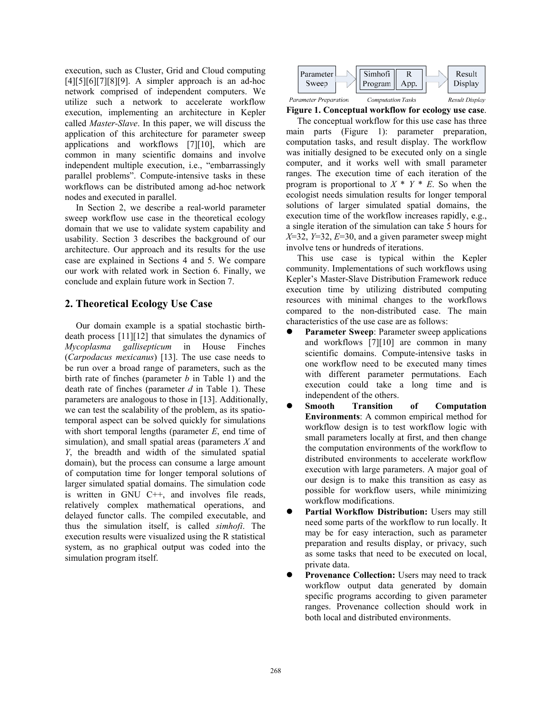execution, such as Cluster, Grid and Cloud computing  $[4][5][6][7][8][9]$ . A simpler approach is an ad-hoc network comprised of independent computers. We utilize such a network to accelerate workflow execution, implementing an architecture in Kepler called *Master-Slave*. In this paper, we will discuss the application of this architecture for parameter sweep applications and workflows [7][10], which are common in many scientific domains and involve independent multiple execution, i.e., "embarrassingly parallel problems". Compute-intensive tasks in these workflows can be distributed among ad-hoc network nodes and executed in parallel.

In Section 2, we describe a real-world parameter sweep workflow use case in the theoretical ecology domain that we use to validate system capability and usability. Section 3 describes the background of our architecture. Our approach and its results for the use case are explained in Sections 4 and 5. We compare our work with related work in Section 6. Finally, we conclude and explain future work in Section 7.

# **2. Theoretical Ecology Use Case**

Our domain example is a spatial stochastic birthdeath process [11][12] that simulates the dynamics of *Mycoplasma gallisepticum* in House Finches (*Carpodacus mexicanus*) [13]. The use case needs to be run over a broad range of parameters, such as the birth rate of finches (parameter *b* in Table 1) and the death rate of finches (parameter *d* in Table 1). These parameters are analogous to those in [13]. Additionally, we can test the scalability of the problem, as its spatiotemporal aspect can be solved quickly for simulations with short temporal lengths (parameter *E*, end time of simulation), and small spatial areas (parameters *X* and *Y*, the breadth and width of the simulated spatial domain), but the process can consume a large amount of computation time for longer temporal solutions of larger simulated spatial domains. The simulation code is written in GNU C++, and involves file reads, relatively complex mathematical operations, and delayed functor calls. The compiled executable, and thus the simulation itself, is called *simhofi*. The execution results were visualized using the R statistical system, as no graphical output was coded into the simulation program itself.



**Figure 1. Conceptual workflow for ecology use case**.

The conceptual workflow for this use case has three main parts (Figure 1): parameter preparation, computation tasks, and result display. The workflow was initially designed to be executed only on a single computer, and it works well with small parameter ranges. The execution time of each iteration of the program is proportional to  $X * Y * E$ . So when the ecologist needs simulation results for longer temporal solutions of larger simulated spatial domains, the execution time of the workflow increases rapidly, e.g., a single iteration of the simulation can take 5 hours for *X*=32, *Y*=32, *E*=30, and a given parameter sweep might involve tens or hundreds of iterations.

This use case is typical within the Kepler community. Implementations of such workflows using Kepler's Master-Slave Distribution Framework reduce execution time by utilizing distributed computing resources with minimal changes to the workflows compared to the non-distributed case. The main characteristics of the use case are as follows:

- Parameter Sweep: Parameter sweep applications and workflows [7][10] are common in many scientific domains. Compute-intensive tasks in one workflow need to be executed many times with different parameter permutations. Each execution could take a long time and is independent of the others.
- z **Smooth Transition of Computation Environments**: A common empirical method for workflow design is to test workflow logic with small parameters locally at first, and then change the computation environments of the workflow to distributed environments to accelerate workflow execution with large parameters. A major goal of our design is to make this transition as easy as possible for workflow users, while minimizing workflow modifications.
- Partial Workflow Distribution: Users may still need some parts of the workflow to run locally. It may be for easy interaction, such as parameter preparation and results display, or privacy, such as some tasks that need to be executed on local, private data.
- **Provenance Collection:** Users may need to track workflow output data generated by domain specific programs according to given parameter ranges. Provenance collection should work in both local and distributed environments.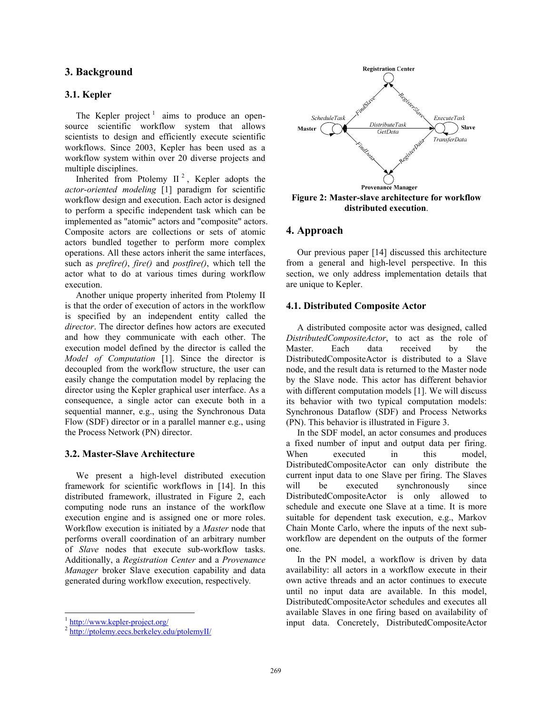#### **3. Background**

#### **3.1. Kepler**

The Kepler project<sup>1</sup> aims to produce an opensource scientific workflow system that allows scientists to design and efficiently execute scientific workflows. Since 2003, Kepler has been used as a workflow system within over 20 diverse projects and multiple disciplines.

Inherited from Ptolemy II<sup>2</sup>, Kepler adopts the *actor-oriented modeling* [1] paradigm for scientific workflow design and execution. Each actor is designed to perform a specific independent task which can be implemented as "atomic" actors and "composite" actors. Composite actors are collections or sets of atomic actors bundled together to perform more complex operations. All these actors inherit the same interfaces, such as *prefire()*, *fire()* and *postfire()*, which tell the actor what to do at various times during workflow execution.

Another unique property inherited from Ptolemy II is that the order of execution of actors in the workflow is specified by an independent entity called the *director*. The director defines how actors are executed and how they communicate with each other. The execution model defined by the director is called the *Model of Computation* [1]. Since the director is decoupled from the workflow structure, the user can easily change the computation model by replacing the director using the Kepler graphical user interface. As a consequence, a single actor can execute both in a sequential manner, e.g., using the Synchronous Data Flow (SDF) director or in a parallel manner e.g., using the Process Network (PN) director.

#### **3.2. Master-Slave Architecture**

We present a high-level distributed execution framework for scientific workflows in [14]. In this distributed framework, illustrated in Figure 2, each computing node runs an instance of the workflow execution engine and is assigned one or more roles. Workflow execution is initiated by a *Master* node that performs overall coordination of an arbitrary number of *Slave* nodes that execute sub-workflow tasks. Additionally, a *Registration Center* and a *Provenance Manager* broker Slave execution capability and data generated during workflow execution, respectively*.*

-



**distributed execution**.

#### **4. Approach**

Our previous paper [14] discussed this architecture from a general and high-level perspective. In this section, we only address implementation details that are unique to Kepler.

#### **4.1. Distributed Composite Actor**

A distributed composite actor was designed, called *DistributedCompositeActor*, to act as the role of Master. Each data received by the DistributedCompositeActor is distributed to a Slave node, and the result data is returned to the Master node by the Slave node. This actor has different behavior with different computation models [1]. We will discuss its behavior with two typical computation models: Synchronous Dataflow (SDF) and Process Networks (PN). This behavior is illustrated in Figure 3.

In the SDF model, an actor consumes and produces a fixed number of input and output data per firing. When executed in this model. DistributedCompositeActor can only distribute the current input data to one Slave per firing. The Slaves will be executed synchronously since DistributedCompositeActor is only allowed to schedule and execute one Slave at a time. It is more suitable for dependent task execution, e.g., Markov Chain Monte Carlo, where the inputs of the next subworkflow are dependent on the outputs of the former one.

In the PN model, a workflow is driven by data availability: all actors in a workflow execute in their own active threads and an actor continues to execute until no input data are available. In this model, DistributedCompositeActor schedules and executes all available Slaves in one firing based on availability of input data. Concretely, DistributedCompositeActor

<sup>1</sup> http://www.kepler-project.org/

<sup>&</sup>lt;sup>2</sup> http://ptolemy.eecs.berkeley.edu/ptolemyII/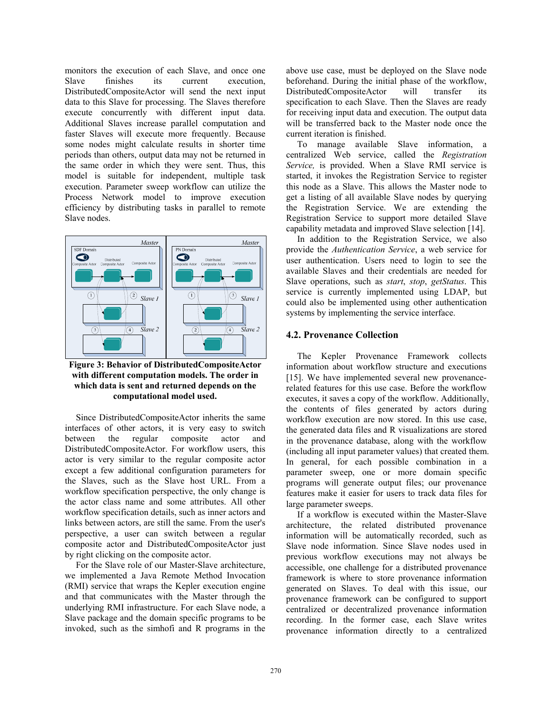monitors the execution of each Slave, and once one Slave finishes its current execution, DistributedCompositeActor will send the next input data to this Slave for processing. The Slaves therefore execute concurrently with different input data. Additional Slaves increase parallel computation and faster Slaves will execute more frequently. Because some nodes might calculate results in shorter time periods than others, output data may not be returned in the same order in which they were sent. Thus, this model is suitable for independent, multiple task execution. Parameter sweep workflow can utilize the Process Network model to improve execution efficiency by distributing tasks in parallel to remote Slave nodes.



**Figure 3: Behavior of DistributedCompositeActor with different computation models. The order in which data is sent and returned depends on the computational model used.** 

Since DistributedCompositeActor inherits the same interfaces of other actors, it is very easy to switch between the regular composite actor and DistributedCompositeActor. For workflow users, this actor is very similar to the regular composite actor except a few additional configuration parameters for the Slaves, such as the Slave host URL. From a workflow specification perspective, the only change is the actor class name and some attributes. All other workflow specification details, such as inner actors and links between actors, are still the same. From the user's perspective, a user can switch between a regular composite actor and DistributedCompositeActor just by right clicking on the composite actor.

For the Slave role of our Master-Slave architecture, we implemented a Java Remote Method Invocation (RMI) service that wraps the Kepler execution engine and that communicates with the Master through the underlying RMI infrastructure. For each Slave node, a Slave package and the domain specific programs to be invoked, such as the simhofi and R programs in the above use case, must be deployed on the Slave node beforehand. During the initial phase of the workflow, DistributedCompositeActor will transfer its specification to each Slave. Then the Slaves are ready for receiving input data and execution. The output data will be transferred back to the Master node once the current iteration is finished.

To manage available Slave information, a centralized Web service, called the *Registration Service,* is provided. When a Slave RMI service is started, it invokes the Registration Service to register this node as a Slave. This allows the Master node to get a listing of all available Slave nodes by querying the Registration Service. We are extending the Registration Service to support more detailed Slave capability metadata and improved Slave selection [14].

In addition to the Registration Service, we also provide the *Authentication Service*, a web service for user authentication. Users need to login to see the available Slaves and their credentials are needed for Slave operations, such as *start*, *stop*, *getStatus*. This service is currently implemented using LDAP, but could also be implemented using other authentication systems by implementing the service interface.

#### **4.2. Provenance Collection**

The Kepler Provenance Framework collects information about workflow structure and executions [15]. We have implemented several new provenancerelated features for this use case. Before the workflow executes, it saves a copy of the workflow. Additionally, the contents of files generated by actors during workflow execution are now stored. In this use case the generated data files and R visualizations are stored in the provenance database, along with the workflow (including all input parameter values) that created them. In general, for each possible combination in a parameter sweep, one or more domain specific programs will generate output files; our provenance features make it easier for users to track data files for large parameter sweeps.

If a workflow is executed within the Master-Slave architecture, the related distributed provenance information will be automatically recorded, such as Slave node information. Since Slave nodes used in previous workflow executions may not always be accessible, one challenge for a distributed provenance framework is where to store provenance information generated on Slaves. To deal with this issue, our provenance framework can be configured to support centralized or decentralized provenance information recording. In the former case, each Slave writes provenance information directly to a centralized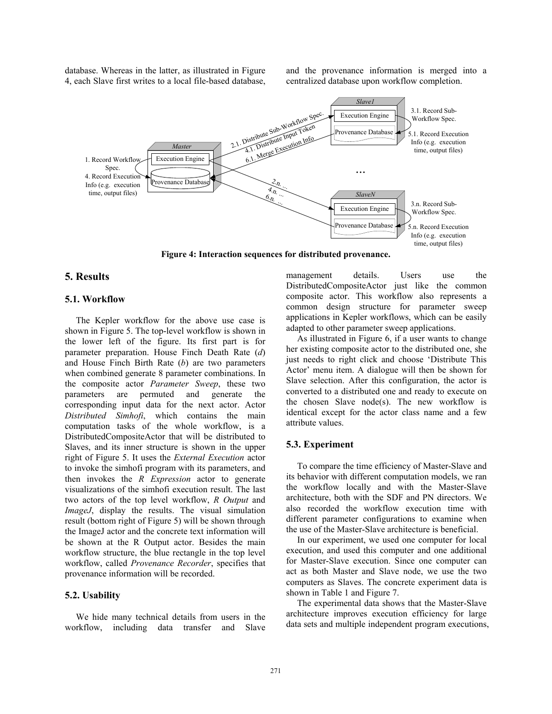database. Whereas in the latter, as illustrated in Figure 4, each Slave first writes to a local file-based database, and the provenance information is merged into a centralized database upon workflow completion.



**Figure 4: Interaction sequences for distributed provenance.** 

#### **5. Results**

#### **5.1. Workflow**

The Kepler workflow for the above use case is shown in Figure 5. The top-level workflow is shown in the lower left of the figure. Its first part is for parameter preparation. House Finch Death Rate (*d*) and House Finch Birth Rate (*b*) are two parameters when combined generate 8 parameter combinations. In the composite actor *Parameter Sweep*, these two parameters are permuted and generate the corresponding input data for the next actor. Actor *Distributed Simhofi*, which contains the main computation tasks of the whole workflow, is a DistributedCompositeActor that will be distributed to Slaves, and its inner structure is shown in the upper right of Figure 5. It uses the *External Execution* actor to invoke the simhofi program with its parameters, and then invokes the *R Expression* actor to generate visualizations of the simhofi execution result. The last two actors of the top level workflow, *R Output* and *ImageJ*, display the results. The visual simulation result (bottom right of Figure 5) will be shown through the ImageJ actor and the concrete text information will be shown at the R Output actor. Besides the main workflow structure, the blue rectangle in the top level workflow, called *Provenance Recorder*, specifies that provenance information will be recorded.

#### **5.2. Usability**

We hide many technical details from users in the workflow, including data transfer and Slave management details. Users use the DistributedCompositeActor just like the common composite actor. This workflow also represents a common design structure for parameter sweep applications in Kepler workflows, which can be easily adapted to other parameter sweep applications.

As illustrated in Figure 6, if a user wants to change her existing composite actor to the distributed one, she just needs to right click and choose 'Distribute This Actor' menu item. A dialogue will then be shown for Slave selection. After this configuration, the actor is converted to a distributed one and ready to execute on the chosen Slave node(s). The new workflow is identical except for the actor class name and a few attribute values.

#### **5.3. Experiment**

To compare the time efficiency of Master-Slave and its behavior with different computation models, we ran the workflow locally and with the Master-Slave architecture, both with the SDF and PN directors. We also recorded the workflow execution time with different parameter configurations to examine when the use of the Master-Slave architecture is beneficial.

In our experiment, we used one computer for local execution, and used this computer and one additional for Master-Slave execution. Since one computer can act as both Master and Slave node, we use the two computers as Slaves. The concrete experiment data is shown in Table 1 and Figure 7.

The experimental data shows that the Master-Slave architecture improves execution efficiency for large data sets and multiple independent program executions,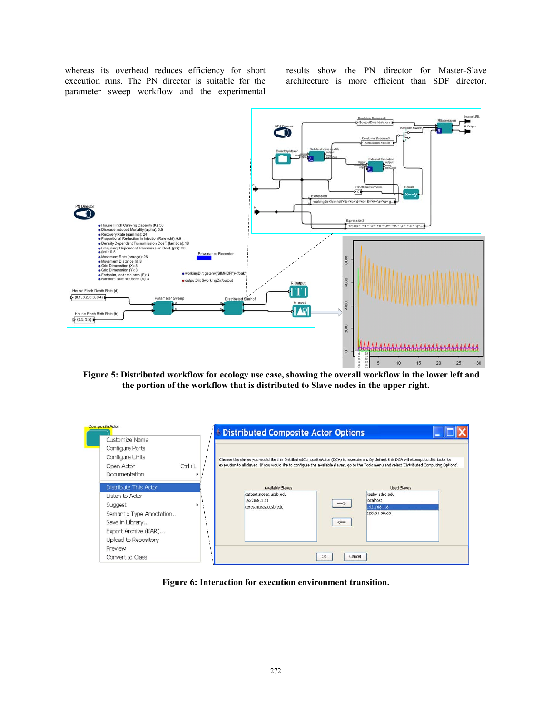whereas its overhead reduces efficiency for short execution runs. The PN director is suitable for the parameter sweep workflow and the experimental results show the PN director for Master-Slave architecture is more efficient than SDF director.



**Figure 5: Distributed workflow for ecology use case, showing the overall workflow in the lower left and the portion of the workflow that is distributed to Slave nodes in the upper right.** 

| <b>CompositeActor</b> |                                   | <b><i><u>EDistributed Composite Actor Options</u></i></b> |  |                                        |                  |               |                                                                                                                                                                                                                                                                                           |  |
|-----------------------|-----------------------------------|-----------------------------------------------------------|--|----------------------------------------|------------------|---------------|-------------------------------------------------------------------------------------------------------------------------------------------------------------------------------------------------------------------------------------------------------------------------------------------|--|
|                       | Customize Name<br>Configure Ports |                                                           |  |                                        |                  |               |                                                                                                                                                                                                                                                                                           |  |
|                       | Configure Units<br>Open Actor     | $Ctr +L$                                                  |  |                                        |                  |               | Choose the slaves you would like this DistributedCompositeActor (DCA) to execute on. By default this DCA will attempt to distribute its<br>execution to all slaves. If you would like to configure the available slaves, go to the Tools menu and select 'Distributed Computing Options'. |  |
|                       | Documentation                     |                                                           |  |                                        |                  |               |                                                                                                                                                                                                                                                                                           |  |
|                       | Distribute This Actor             |                                                           |  |                                        | Available Slaves |               | <b>Used Slaves</b>                                                                                                                                                                                                                                                                        |  |
|                       | Listen to Actor                   |                                                           |  | catbert.nceas.ucsb.edu<br>192.168.1.11 |                  |               | kepler.sdsc.edu<br>localhost                                                                                                                                                                                                                                                              |  |
|                       | Suggest                           |                                                           |  | ceres.nceas.ucsb.edu                   |                  | $\Rightarrow$ | 192.168.1.8                                                                                                                                                                                                                                                                               |  |
|                       | Semantic Type Annotation          |                                                           |  |                                        |                  |               | 128.54.58.60                                                                                                                                                                                                                                                                              |  |
|                       | Save in Library                   |                                                           |  |                                        |                  | $\leq m$      |                                                                                                                                                                                                                                                                                           |  |
|                       | Export Archive (KAR)              |                                                           |  |                                        |                  |               |                                                                                                                                                                                                                                                                                           |  |
|                       | Upload to Repository              |                                                           |  |                                        |                  |               |                                                                                                                                                                                                                                                                                           |  |
|                       | Preview                           |                                                           |  |                                        |                  |               |                                                                                                                                                                                                                                                                                           |  |
|                       | Convert to Class                  |                                                           |  |                                        |                  | OK<br>Cancel  |                                                                                                                                                                                                                                                                                           |  |

**Figure 6: Interaction for execution environment transition.**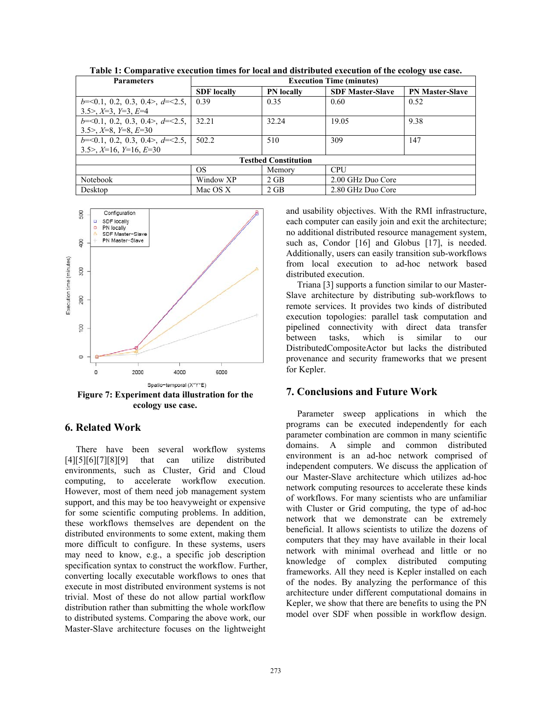| <b>Parameters</b>                      | <b>Execution Time (minutes)</b> |                   |                         |                        |  |  |  |  |  |  |
|----------------------------------------|---------------------------------|-------------------|-------------------------|------------------------|--|--|--|--|--|--|
|                                        | <b>SDF</b> locally              | <b>PN</b> locally | <b>SDF Master-Slave</b> | <b>PN Master-Slave</b> |  |  |  |  |  |  |
| $b = 0.1, 0.2, 0.3, 0.4$ , $d = 2.5$ , | 0.39                            | 0.35              | 0.60                    | 0.52                   |  |  |  |  |  |  |
| $3.5$ , $X=3$ , $Y=3$ , $E=4$          |                                 |                   |                         |                        |  |  |  |  |  |  |
| $b = 0.1, 0.2, 0.3, 0.4$ , $d = 2.5$ , | 32.21                           | 32.24             | 19.05                   | 9.38                   |  |  |  |  |  |  |
| $3.5$ , $X=8$ , $Y=8$ , $E=30$         |                                 |                   |                         |                        |  |  |  |  |  |  |
| $b = 0.1, 0.2, 0.3, 0.4$ , $d = 2.5$ , | 502.2                           | 510               | 309                     | 147                    |  |  |  |  |  |  |
| 3.5>, $X=16$ , $Y=16$ , $E=30$         |                                 |                   |                         |                        |  |  |  |  |  |  |
| <b>Testbed Constitution</b>            |                                 |                   |                         |                        |  |  |  |  |  |  |
|                                        | OS                              | Memory            | <b>CPU</b>              |                        |  |  |  |  |  |  |
| Notebook                               | Window XP                       | $2$ GB            | 2.00 GHz Duo Core       |                        |  |  |  |  |  |  |
| Desktop                                | Mac OS X                        | $2$ GB            | 2.80 GHz Duo Core       |                        |  |  |  |  |  |  |

**Table 1: Comparative execution times for local and distributed execution of the ecology use case.** 



**ecology use case.**

### **6. Related Work**

There have been several workflow systems  $[4][5][6][7][8][9]$  that can utilize distributed environments, such as Cluster, Grid and Cloud computing, to accelerate workflow execution. However, most of them need job management system support, and this may be too heavyweight or expensive for some scientific computing problems. In addition, these workflows themselves are dependent on the distributed environments to some extent, making them more difficult to configure. In these systems, users may need to know, e.g., a specific job description specification syntax to construct the workflow. Further, converting locally executable workflows to ones that execute in most distributed environment systems is not trivial. Most of these do not allow partial workflow distribution rather than submitting the whole workflow to distributed systems. Comparing the above work, our Master-Slave architecture focuses on the lightweight

and usability objectives. With the RMI infrastructure, each computer can easily join and exit the architecture; no additional distributed resource management system, such as, Condor [16] and Globus [17], is needed. Additionally, users can easily transition sub-workflows from local execution to ad-hoc network based distributed execution.

Triana [3] supports a function similar to our Master-Slave architecture by distributing sub-workflows to remote services. It provides two kinds of distributed execution topologies: parallel task computation and pipelined connectivity with direct data transfer between tasks, which is similar to our DistributedCompositeActor but lacks the distributed provenance and security frameworks that we present for Kepler.

# **7. Conclusions and Future Work**

Parameter sweep applications in which the programs can be executed independently for each parameter combination are common in many scientific domains. A simple and common distributed environment is an ad-hoc network comprised of independent computers. We discuss the application of our Master-Slave architecture which utilizes ad-hoc network computing resources to accelerate these kinds of workflows. For many scientists who are unfamiliar with Cluster or Grid computing, the type of ad-hoc network that we demonstrate can be extremely beneficial. It allows scientists to utilize the dozens of computers that they may have available in their local network with minimal overhead and little or no knowledge of complex distributed computing frameworks. All they need is Kepler installed on each of the nodes. By analyzing the performance of this architecture under different computational domains in Kepler, we show that there are benefits to using the PN model over SDF when possible in workflow design.